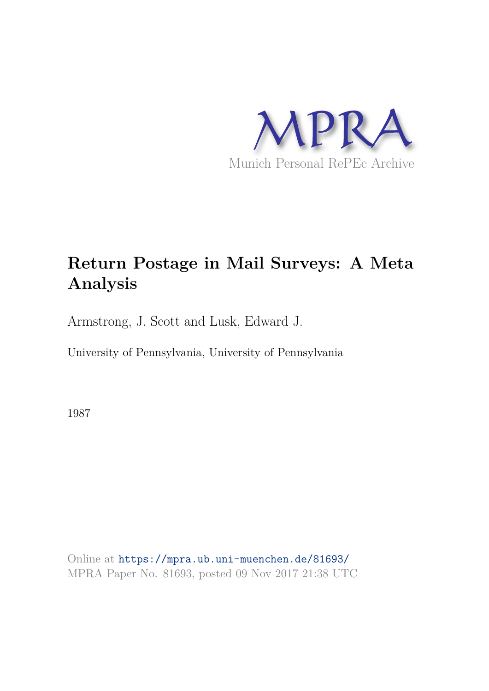

# **Return Postage in Mail Surveys: A Meta Analysis**

Armstrong, J. Scott and Lusk, Edward J.

University of Pennsylvania, University of Pennsylvania

1987

Online at https://mpra.ub.uni-muenchen.de/81693/ MPRA Paper No. 81693, posted 09 Nov 2017 21:38 UTC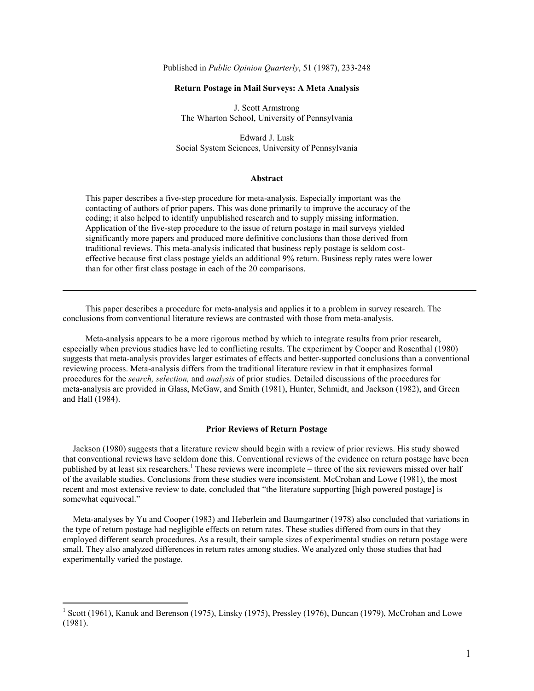Published in *Public Opinion Quarterly*, 51 (1987), 233-248

#### **Return Postage in Mail Surveys: A Meta Analysis**

J. Scott Armstrong The Wharton School, University of Pennsylvania

Edward J. Lusk Social System Sciences, University of Pennsylvania

# **Abstract**

This paper describes a five-step procedure for meta-analysis. Especially important was the contacting of authors of prior papers. This was done primarily to improve the accuracy of the coding; it also helped to identify unpublished research and to supply missing information. Application of the five-step procedure to the issue of return postage in mail surveys yielded significantly more papers and produced more definitive conclusions than those derived from traditional reviews. This meta-analysis indicated that business reply postage is seldom costeffective because first class postage yields an additional 9% return. Business reply rates were lower than for other first class postage in each of the 20 comparisons.

This paper describes a procedure for meta-analysis and applies it to a problem in survey research. The conclusions from conventional literature reviews are contrasted with those from meta-analysis.

Meta-analysis appears to be a more rigorous method by which to integrate results from prior research, especially when previous studies have led to conflicting results. The experiment by Cooper and Rosenthal (1980) suggests that meta-analysis provides larger estimates of effects and better-supported conclusions than a conventional reviewing process. Meta-analysis differs from the traditional literature review in that it emphasizes formal procedures for the *search, selection,* and *analysis* of prior studies. Detailed discussions of the procedures for meta-analysis are provided in Glass, McGaw, and Smith (1981), Hunter, Schmidt, and Jackson (1982), and Green and Hall (1984).

#### **Prior Reviews of Return Postage**

Jackson (1980) suggests that a literature review should begin with a review of prior reviews. His study showed that conventional reviews have seldom done this. Conventional reviews of the evidence on return postage have been published by at least six researchers.<sup>1</sup> These reviews were incomplete – three of the six reviewers missed over half of the available studies. Conclusions from these studies were inconsistent. McCrohan and Lowe (1981), the most recent and most extensive review to date, concluded that "the literature supporting [high powered postage] is somewhat equivocal."

Meta-analyses by Yu and Cooper (1983) and Heberlein and Baumgartner (1978) also concluded that variations in the type of return postage had negligible effects on return rates. These studies differed from ours in that they employed different search procedures. As a result, their sample sizes of experimental studies on return postage were small. They also analyzed differences in return rates among studies. We analyzed only those studies that had experimentally varied the postage.

 $\overline{a}$ 

<sup>&</sup>lt;sup>1</sup> Scott (1961), Kanuk and Berenson (1975), Linsky (1975), Pressley (1976), Duncan (1979), McCrohan and Lowe (1981).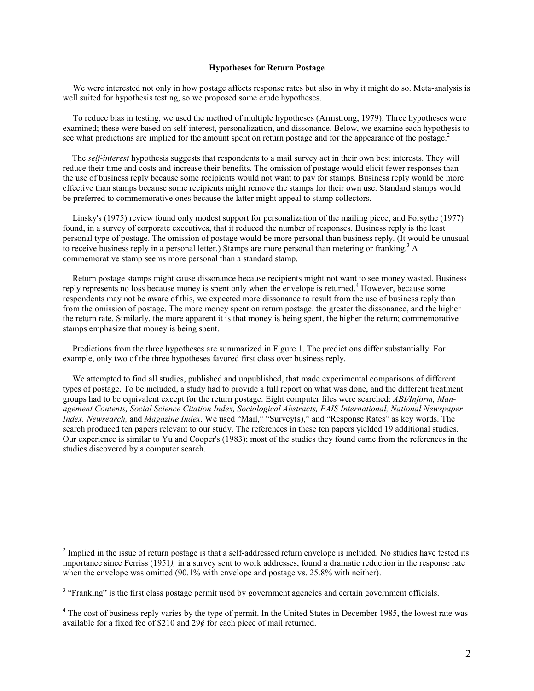# **Hypotheses for Return Postage**

We were interested not only in how postage affects response rates but also in why it might do so. Meta-analysis is well suited for hypothesis testing, so we proposed some crude hypotheses.

To reduce bias in testing, we used the method of multiple hypotheses (Armstrong, 1979). Three hypotheses were examined; these were based on self-interest, personalization, and dissonance. Below, we examine each hypothesis to see what predictions are implied for the amount spent on return postage and for the appearance of the postage.<sup>2</sup>

The *self-interest* hypothesis suggests that respondents to a mail survey act in their own best interests. They will reduce their time and costs and increase their benefits. The omission of postage would elicit fewer responses than the use of business reply because some recipients would not want to pay for stamps. Business reply would be more effective than stamps because some recipients might remove the stamps for their own use. Standard stamps would be preferred to commemorative ones because the latter might appeal to stamp collectors.

Linsky's (1975) review found only modest support for personalization of the mailing piece, and Forsythe (1977) found, in a survey of corporate executives, that it reduced the number of responses. Business reply is the least personal type of postage. The omission of postage would be more personal than business reply. (It would be unusual to receive business reply in a personal letter.) Stamps are more personal than metering or franking.<sup>3</sup> A commemorative stamp seems more personal than a standard stamp.

Return postage stamps might cause dissonance because recipients might not want to see money wasted. Business reply represents no loss because money is spent only when the envelope is returned.<sup>4</sup> However, because some respondents may not be aware of this, we expected more dissonance to result from the use of business reply than from the omission of postage. The more money spent on return postage. the greater the dissonance, and the higher the return rate. Similarly, the more apparent it is that money is being spent, the higher the return; commemorative stamps emphasize that money is being spent.

Predictions from the three hypotheses are summarized in Figure 1. The predictions differ substantially. For example, only two of the three hypotheses favored first class over business reply.

We attempted to find all studies, published and unpublished, that made experimental comparisons of different types of postage. To be included, a study had to provide a full report on what was done, and the different treatment groups had to be equivalent except for the return postage. Eight computer files were searched: *ABI/Inform, Management Contents, Social Science Citation Index, Sociological Abstracts, PAIS International, National Newspaper Index, Newsearch,* and *Magazine Index*. We used "Mail," "Survey(s)," and "Response Rates" as key words. The search produced ten papers relevant to our study. The references in these ten papers yielded 19 additional studies. Our experience is similar to Yu and Cooper's (1983); most of the studies they found came from the references in the studies discovered by a computer search.

<sup>&</sup>lt;sup>2</sup> Implied in the issue of return postage is that a self-addressed return envelope is included. No studies have tested its importance since Ferriss (1951*),* in a survey sent to work addresses, found a dramatic reduction in the response rate when the envelope was omitted (90.1% with envelope and postage vs. 25.8% with neither).

<sup>&</sup>lt;sup>3</sup> "Franking" is the first class postage permit used by government agencies and certain government officials.

<sup>&</sup>lt;sup>4</sup> The cost of business reply varies by the type of permit. In the United States in December 1985, the lowest rate was available for a fixed fee of \$210 and 29¢ for each piece of mail returned.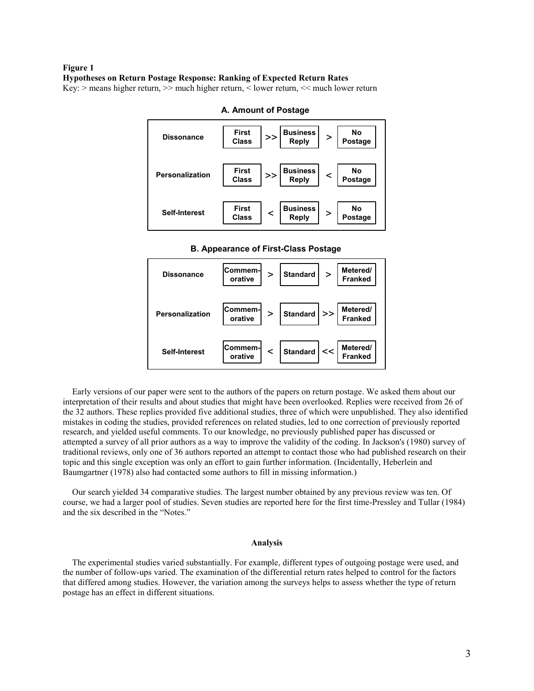# **Figure 1 Hypotheses on Return Postage Response: Ranking of Expected Return Rates**

Key: > means higher return, >> much higher return, < lower return, << much lower return



# **A. Amount of Postage**

#### **B. Appearance of First-Class Postage**

| <b>Dissonance</b>      | Commem-<br>Standard<br>$\geq$<br>$\geq$<br>orative                                 | Metered/<br><b>Franked</b> |
|------------------------|------------------------------------------------------------------------------------|----------------------------|
| <b>Personalization</b> | $\vert$ >> $\vert$ Metered/<br>Franked<br>Commem-<br>Standard<br>$\geq$<br>orative |                            |
| Self-Interest          | $\vert$ Standard $\vert$ <<   Metered/<br>Commem-<br>orative                       |                            |

Early versions of our paper were sent to the authors of the papers on return postage. We asked them about our interpretation of their results and about studies that might have been overlooked. Replies were received from 26 of the 32 authors. These replies provided five additional studies, three of which were unpublished. They also identified mistakes in coding the studies, provided references on related studies, led to one correction of previously reported research, and yielded useful comments. To our knowledge, no previously published paper has discussed or attempted a survey of all prior authors as a way to improve the validity of the coding. In Jackson's (1980) survey of traditional reviews, only one of 36 authors reported an attempt to contact those who had published research on their topic and this single exception was only an effort to gain further information. (Incidentally, Heberlein and Baumgartner (1978) also had contacted some authors to fill in missing information.)

Our search yielded 34 comparative studies. The largest number obtained by any previous review was ten. Of course, we had a larger pool of studies. Seven studies are reported here for the first time-Pressley and Tullar (1984) and the six described in the "Notes."

#### **Analysis**

The experimental studies varied substantially. For example, different types of outgoing postage were used, and the number of follow-ups varied. The examination of the differential return rates helped to control for the factors that differed among studies. However, the variation among the surveys helps to assess whether the type of return postage has an effect in different situations.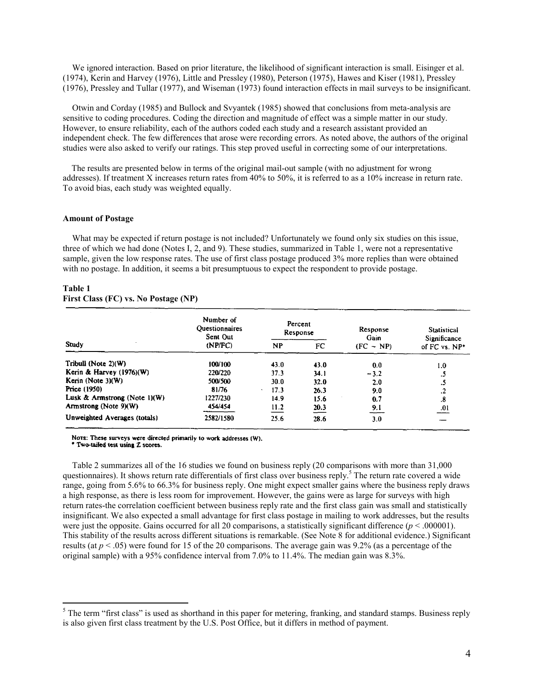We ignored interaction. Based on prior literature, the likelihood of significant interaction is small. Eisinger et al. (1974), Kerin and Harvey (1976), Little and Pressley (1980), Peterson (1975), Hawes and Kiser (1981), Pressley (1976), Pressley and Tullar (1977), and Wiseman (1973) found interaction effects in mail surveys to be insignificant.

Otwin and Corday (1985) and Bullock and Svyantek (1985) showed that conclusions from meta-analysis are sensitive to coding procedures. Coding the direction and magnitude of effect was a simple matter in our study. However, to ensure reliability, each of the authors coded each study and a research assistant provided an independent check. The few differences that arose were recording errors. As noted above, the authors of the original studies were also asked to verify our ratings. This step proved useful in correcting some of our interpretations.

The results are presented below in terms of the original mail-out sample (with no adjustment for wrong addresses). If treatment X increases return rates from 40% to 50%, it is referred to as a 10% increase in return rate. To avoid bias, each study was weighted equally.

#### **Amount of Postage**

What may be expected if return postage is not included? Unfortunately we found only six studies on this issue, three of which we had done (Notes I, 2, and 9). These studies, summarized in Table 1, were not a representative sample, given the low response rates. The use of first class postage produced 3% more replies than were obtained with no postage. In addition, it seems a bit presumptuous to expect the respondent to provide postage.

#### **Table 1 First Class (FC) vs. No Postage (NP)**

| Study                           | Number of<br>Questionnaires<br>Sent Out<br>(NP/FC) | Percent<br>Response |      | Response<br>Gain | <b>Statistical</b><br>Significance |
|---------------------------------|----------------------------------------------------|---------------------|------|------------------|------------------------------------|
|                                 |                                                    | NP                  | FC   | $(FC - NP)$      | of $FC$ vs. $NP*$                  |
| Tribull (Note 2)(W)             | 100/100                                            | 43.0                | 43.0 | 0.0              | 1.0                                |
| Kerin & Harvey $(1976)(W)$      | 220/220                                            | 37.3                | 34.1 | $-3.2$           | .5                                 |
| Kerin (Note 3)(W)               | 500/500                                            | 30.0                | 32.0 | 2.0              |                                    |
| Price (1950)                    | 81/76                                              | 17.3                | 26.3 | 9.0              | $\cdot$ 2                          |
| Lusk & Armstrong (Note $1$ )(W) | 1227/230                                           | 14.9                | 15.6 | 0.7              | .8                                 |
| Armstrong (Note 9)(W)           | 454/454                                            | 11.2                | 20.3 | 9,1              | .01                                |
| Unweighted Averages (totals)    | 2582/1580                                          | 25.6                | 28.6 | 3.0              |                                    |

NOTE: These surveys were directed primarily to work addresses (W).

\* Two-tailed test using Z scores.

Table 2 summarizes all of the 16 studies we found on business reply (20 comparisons with more than 31,000 questionnaires). It shows return rate differentials of first class over business reply.<sup>5</sup> The return rate covered a wide range, going from 5.6% to 66.3% for business reply. One might expect smaller gains where the business reply draws a high response, as there is less room for improvement. However, the gains were as large for surveys with high return rates-the correlation coefficient between business reply rate and the first class gain was small and statistically insignificant. We also expected a small advantage for first class postage in mailing to work addresses, but the results were just the opposite. Gains occurred for all 20 comparisons, a statistically significant difference  $(p < .000001)$ . This stability of the results across different situations is remarkable. (See Note 8 for additional evidence.) Significant results (at  $p < .05$ ) were found for 15 of the 20 comparisons. The average gain was 9.2% (as a percentage of the original sample) with a 95% confidence interval from 7.0% to 11.4%. The median gain was 8.3%.

<sup>&</sup>lt;sup>5</sup> The term "first class" is used as shorthand in this paper for metering, franking, and standard stamps. Business reply is also given first class treatment by the U.S. Post Office, but it differs in method of payment.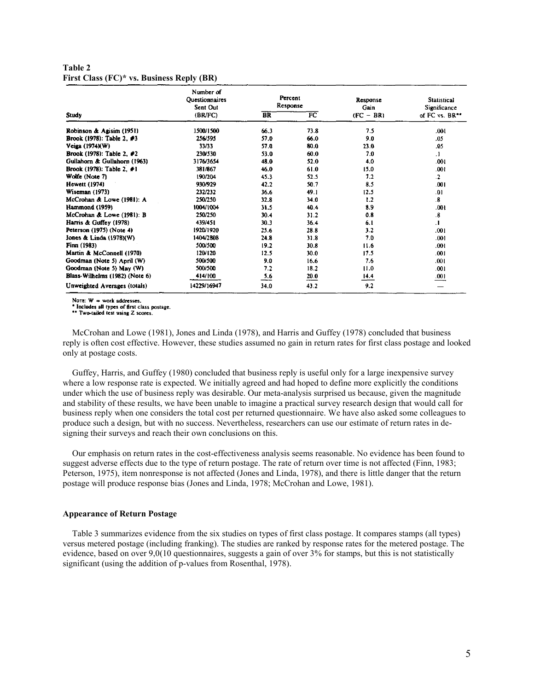# **Table 2 First Class (FC)\* vs. Business Reply (BR)**

| Study                          | Number of<br>Questionnaires<br>Sent Out<br>(BR/FC) | Percent<br>Response    |      | Response<br>Gain | <b>Statistical</b><br>Significance |
|--------------------------------|----------------------------------------------------|------------------------|------|------------------|------------------------------------|
|                                |                                                    | $\overline{\text{BR}}$ | FC   | $(FC - BR)$      | of FC vs. BR**                     |
| Robinson & Agisim (1951)       | 1500/1500                                          | 66.3                   | 73.8 | 7.5              | .001                               |
| Brook (1978): Table 2, #3      | 256/595                                            | 57.0                   | 66.0 | 9.0              | .05                                |
| Veiga (1974)(W)                | 33/33                                              | 57.0                   | 80.0 | 23.0             | .05                                |
| Brook (1978): Table 2, $#2$    | 230/530                                            | 53.0                   | 60.0 | 7.0              | .1                                 |
| Gullahorn & Gullahorn (1963)   | 3176/3654                                          | 48.0                   | 52.0 | 4.0              | .001                               |
| Brook (1978): Table 2, #1      | 381/867                                            | 46.0                   | 61.0 | 15.0             | .001                               |
| Wolfe (Note 7)                 | 190/204                                            | 45.3                   | 52.5 | 7.2              | $\mathbf{r}$                       |
| <b>Hewett</b> (1974)           | 930/929                                            | 42.2                   | 50.7 | 8.5              | .001                               |
| Wiseman (1973)                 | 232/232                                            | 36.6                   | 49.1 | 12.5             | .01                                |
| McCrohan & Lowe (1981): A      | 250/250                                            | 32.8                   | 34.0 | 1.2              | $\boldsymbol{.8}$                  |
| Hammond (1959)                 | 1004/1004                                          | 31.5                   | 40.4 | 8.9              | .001                               |
| McCrohan & Lowe (1981): B      | 250/250                                            | 30.4                   | 31.2 | 0.8              | $\boldsymbol{.8}$                  |
| Harris & Guffey (1978)         | 439/451                                            | 30.3                   | 36.4 | 6.1              | .1                                 |
| Peterson (1975) (Note 4)       | 1920/1920                                          | 25.6                   | 28.8 | 3.2              | .001                               |
| Jones & Linda (1978)(W)        | 1404/2808                                          | 24.8                   | 31.8 | 7.0              | .001                               |
| Finn (1983)                    | 500/500                                            | 19.2                   | 30.8 | 11.6             | .001                               |
| Martin & McConnell (1970)      | 120/120                                            | 12.5                   | 30.0 | 17.5             | .001                               |
| Goodman (Note 5) April (W)     | 500/500                                            | 9.0                    | 16.6 | 7.6              | .001                               |
| Goodman (Note 5) May (W)       | 500/500                                            | 7.2                    | 18.2 | 11.0             | .001                               |
| Blass-Wilhelms (1982) (Note 6) | 414/100                                            | $\frac{5.6}{4}$        | 20.0 | 14.4             | .001                               |
| Unweighted Averages (totals)   | 14229/16947                                        | 34.0                   | 43.2 | 9.2              |                                    |

NOTE:  $W = work addresses$ .

\* Includes all types of first class postage.

\*\* Two-tailed test using Z scores.

McCrohan and Lowe (1981), Jones and Linda (1978), and Harris and Guffey (1978) concluded that business reply is often cost effective. However, these studies assumed no gain in return rates for first class postage and looked only at postage costs.

Guffey, Harris, and Guffey (1980) concluded that business reply is useful only for a large inexpensive survey where a low response rate is expected. We initially agreed and had hoped to define more explicitly the conditions under which the use of business reply was desirable. Our meta-analysis surprised us because, given the magnitude and stability of these results, we have been unable to imagine a practical survey research design that would call for business reply when one considers the total cost per returned questionnaire. We have also asked some colleagues to produce such a design, but with no success. Nevertheless, researchers can use our estimate of return rates in designing their surveys and reach their own conclusions on this.

Our emphasis on return rates in the cost-effectiveness analysis seems reasonable. No evidence has been found to suggest adverse effects due to the type of return postage. The rate of return over time is not affected (Finn, 1983; Peterson, 1975), item nonresponse is not affected (Jones and Linda, 1978), and there is little danger that the return postage will produce response bias (Jones and Linda, 1978; McCrohan and Lowe, 1981).

#### **Appearance of Return Postage**

Table 3 summarizes evidence from the six studies on types of first class postage. It compares stamps (all types) versus metered postage (including franking). The studies are ranked by response rates for the metered postage. The evidence, based on over 9,0(10 questionnaires, suggests a gain of over 3% for stamps, but this is not statistically significant (using the addition of p-values from Rosenthal, 1978).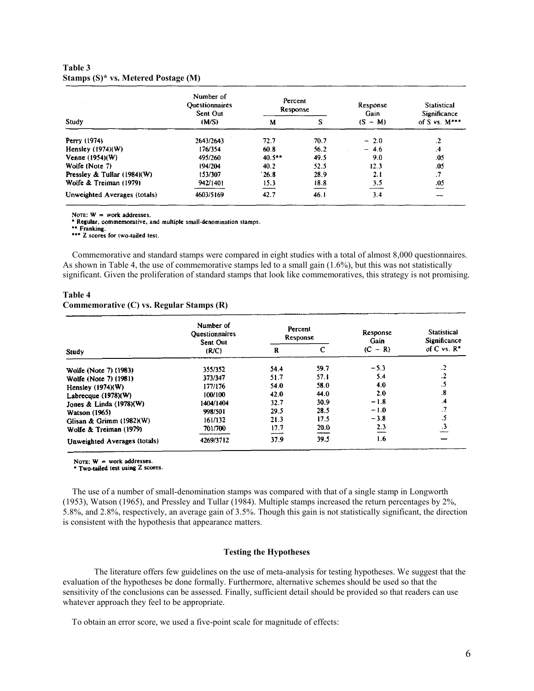#### **Table 3 Stamps (S)\* vs. Metered Postage (M)**

| Study                         | Number of<br><b>Ouestionnaires</b><br>Sent Out<br>(M/S) | Percent<br>Response |      | Response<br>Gain | Statistical<br>Significance |
|-------------------------------|---------------------------------------------------------|---------------------|------|------------------|-----------------------------|
|                               |                                                         | М                   | s    | $(S - M)$        | of $S$ vs. $M***$           |
| Perry (1974)                  | 2643/2643                                               | 72.7                | 70.7 | $-2.0$           | $\cdot$                     |
| Hensley $(1974)(W)$           | 176/354                                                 | 60.8                | 56.2 | $-4.6$           | $\cdot$                     |
| Venne (1954)(W)               | 495/260                                                 | $40.5***$           | 49.5 | 9.0              | .05                         |
| Wolfe (Note 7)                | 194/204                                                 | 40.2                | 52.5 | 12.3             | .05                         |
| Pressley & Tullar $(1984)(W)$ | 153/307                                                 | 26.8                | 28.9 | 2.1              | $\cdot$                     |
| Wolfe & Treiman (1979)        | 942/1401                                                | 15.3                | 18.8 | 3.5              | .05                         |
| Unweighted Averages (totals)  | 4603/5169                                               | 42.7                | 46.1 | 3.4              |                             |

NOTE:  $W = work addresses$ .

\* Regular, commemorative, and multiple small-denomination stamps.

\*\* Franking.<br>\*\* Franking.<br>\*\*\* Z scores for two-tailed test.

Commemorative and standard stamps were compared in eight studies with a total of almost 8,000 questionnaires. As shown in Table 4, the use of commemorative stamps led to a small gain  $(1.6\%)$ , but this was not statistically significant. Given the proliferation of standard stamps that look like commemoratives, this strategy is not promising.

# **Table 4 Commemorative (C) vs. Regular Stamps (R)**

| Study                        | Number of<br><b>Ouestionnaires</b><br>Sent Out<br>(R/C) | Percent<br>Response |      | Response<br>Gain | <b>Statistical</b><br>Significance |
|------------------------------|---------------------------------------------------------|---------------------|------|------------------|------------------------------------|
|                              |                                                         | R                   | c    | $(C - R)$        | of $C$ vs. $R^*$                   |
| Wolfe (Note 7) (1983)        | 355/352                                                 | 54.4                | 59.7 | $-5.3$           | $\cdot$ <sub>2</sub>               |
| Wolfe (Note 7) (1981)        | 373/347                                                 | 51.7                | 57.1 | 5.4              | $\cdot$                            |
| Hensley $(1974)(W)$          | 177/176                                                 | 54.0                | 58.0 | 4.0              | .5                                 |
| Labrecque (1978)(W)          | 100/100                                                 | 42.0                | 44.0 | 2.0              | .8                                 |
| Jones & Linda $(1978)(W)$    | 1404/1404                                               | 32.7                | 30.9 | $-1.8$           | $\mathcal{A}$                      |
| Watson (1965)                | 998/501                                                 | 29.5                | 28.5 | $-1.0$           | .7                                 |
| Glisan & Grimm (1982)(W)     | 161/132                                                 | 21.3                | 17.5 | $-3.8$           | د.                                 |
| Wolfe & Treiman (1979)       | 701/700                                                 | 17.7                | 20.0 | 2.3              |                                    |
| Unweighted Averages (totals) | 4269/3712                                               | 37.9                | 39.5 | 1.6              |                                    |

NOTE:  $W = work addresses.$ <br>\* Two-tailed test using Z scores.

The use of a number of small-denomination stamps was compared with that of a single stamp in Longworth (1953), Watson (1965), and Pressley and Tullar (1984). Multiple stamps increased the return percentages by 2%, 5.8%, and 2.8%, respectively, an average gain of 3.5%. Though this gain is not statistically significant, the direction is consistent with the hypothesis that appearance matters.

# **Testing the Hypotheses**

The literature offers few guidelines on the use of meta-analysis for testing hypotheses. We suggest that the evaluation of the hypotheses be done formally. Furthermore, alternative schemes should be used so that the sensitivity of the conclusions can be assessed. Finally, sufficient detail should be provided so that readers can use whatever approach they feel to be appropriate.

To obtain an error score, we used a five-point scale for magnitude of effects: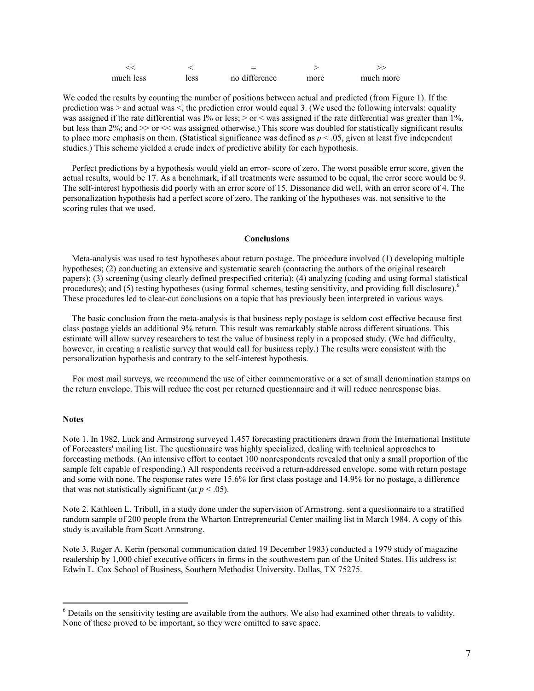|           |      | -             |      |           |
|-----------|------|---------------|------|-----------|
| much less | less | no difference | more | much more |

We coded the results by counting the number of positions between actual and predicted (from Figure 1). If the prediction was > and actual was <, the prediction error would equal 3. (We used the following intervals: equality was assigned if the rate differential was  $I\%$  or less;  $>$  or  $<$  was assigned if the rate differential was greater than 1%. but less than 2%; and >> or << was assigned otherwise.) This score was doubled for statistically significant results to place more emphasis on them. (Statistical significance was defined as  $p < .05$ , given at least five independent studies.) This scheme yielded a crude index of predictive ability for each hypothesis.

Perfect predictions by a hypothesis would yield an error- score of zero. The worst possible error score, given the actual results, would be 17. As a benchmark, if all treatments were assumed to be equal, the error score would be 9. The self-interest hypothesis did poorly with an error score of 15. Dissonance did well, with an error score of 4. The personalization hypothesis had a perfect score of zero. The ranking of the hypotheses was. not sensitive to the scoring rules that we used.

#### **Conclusions**

Meta-analysis was used to test hypotheses about return postage. The procedure involved (1) developing multiple hypotheses; (2) conducting an extensive and systematic search (contacting the authors of the original research papers); (3) screening (using clearly defined prespecified criteria); (4) analyzing (coding and using formal statistical procedures); and (5) testing hypotheses (using formal schemes, testing sensitivity, and providing full disclosure).<sup>6</sup> These procedures led to clear-cut conclusions on a topic that has previously been interpreted in various ways.

The basic conclusion from the meta-analysis is that business reply postage is seldom cost effective because first class postage yields an additional 9% return. This result was remarkably stable across different situations. This estimate will allow survey researchers to test the value of business reply in a proposed study. (We had difficulty, however, in creating a realistic survey that would call for business reply.) The results were consistent with the personalization hypothesis and contrary to the self-interest hypothesis.

For most mail surveys, we recommend the use of either commemorative or a set of small denomination stamps on the return envelope. This will reduce the cost per returned questionnaire and it will reduce nonresponse bias.

#### **Notes**

 $\overline{a}$ 

Note 1. In 1982, Luck and Armstrong surveyed 1,457 forecasting practitioners drawn from the International Institute of Forecasters' mailing list. The questionnaire was highly specialized, dealing with technical approaches to forecasting methods. (An intensive effort to contact 100 nonrespondents revealed that only a small proportion of the sample felt capable of responding.) All respondents received a return-addressed envelope. some with return postage and some with none. The response rates were 15.6% for first class postage and 14.9% for no postage, a difference that was not statistically significant (at  $p < .05$ ).

Note 2. Kathleen L. Tribull, in a study done under the supervision of Armstrong. sent a questionnaire to a stratified random sample of 200 people from the Wharton Entrepreneurial Center mailing list in March 1984. A copy of this study is available from Scott Armstrong.

Note 3. Roger A. Kerin (personal communication dated 19 December 1983) conducted a 1979 study of magazine readership by 1,000 chief executive officers in firms in the southwestern pan of the United States. His address is: Edwin L. Cox School of Business, Southern Methodist University. Dallas, TX 75275.

 $6$  Details on the sensitivity testing are available from the authors. We also had examined other threats to validity. None of these proved to be important, so they were omitted to save space.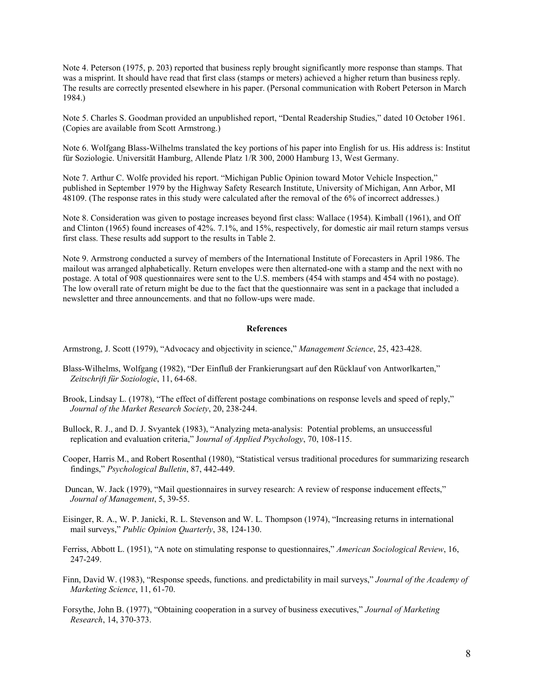Note 4. Peterson (1975, p. 203) reported that business reply brought significantly more response than stamps. That was a misprint. It should have read that first class (stamps or meters) achieved a higher return than business reply. The results are correctly presented elsewhere in his paper. (Personal communication with Robert Peterson in March 1984.)

Note 5. Charles S. Goodman provided an unpublished report, "Dental Readership Studies," dated 10 October 1961. (Copies are available from Scott Armstrong.)

Note 6. Wolfgang Blass-Wilhelms translated the key portions of his paper into English for us. His address is: Institut für Soziologie. Universität Hamburg, Allende Platz 1/R 300, 2000 Hamburg 13, West Germany.

Note 7. Arthur C. Wolfe provided his report. "Michigan Public Opinion toward Motor Vehicle Inspection," published in September 1979 by the Highway Safety Research Institute, University of Michigan, Ann Arbor, MI 48109. (The response rates in this study were calculated after the removal of the 6% of incorrect addresses.)

Note 8. Consideration was given to postage increases beyond first class: Wallace (1954). Kimball (1961), and Off and Clinton (1965) found increases of 42%. 7.1%, and 15%, respectively, for domestic air mail return stamps versus first class. These results add support to the results in Table 2.

Note 9. Armstrong conducted a survey of members of the International Institute of Forecasters in April 1986. The mailout was arranged alphabetically. Return envelopes were then alternated-one with a stamp and the next with no postage. A total of 908 questionnaires were sent to the U.S. members (454 with stamps and 454 with no postage). The low overall rate of return might be due to the fact that the questionnaire was sent in a package that included a newsletter and three announcements. and that no follow-ups were made.

#### **References**

Armstrong, J. Scott (1979), "Advocacy and objectivity in science," *Management Science*, 25, 423-428.

- Blass-Wilhelms, Wolfgang (1982), "Der Einfluß der Frankierungsart auf den Rücklauf von Antworlkarten," *Zeitschrift für Soziologie*, 11, 64-68.
- Brook, Lindsay L. (1978), "The effect of different postage combinations on response levels and speed of reply," *Journal of the Market Research Society*, 20, 238-244.
- Bullock, R. J., and D. J. Svyantek (1983), "Analyzing meta-analysis: Potential problems, an unsuccessful replication and evaluation criteria," J*ournal of Applied Psychology*, 70, 108-115.
- Cooper, Harris M., and Robert Rosenthal (1980), "Statistical versus traditional procedures for summarizing research findings," *Psychological Bulletin*, 87, 442-449.
- Duncan, W. Jack (1979), "Mail questionnaires in survey research: A review of response inducement effects," *Journal of Management*, 5, 39-55.
- Eisinger, R. A., W. P. Janicki, R. L. Stevenson and W. L. Thompson (1974), "Increasing returns in international mail surveys," *Public Opinion Quarterly*, 38, 124-130.
- Ferriss, Abbott L. (1951), "A note on stimulating response to questionnaires," *American Sociological Review*, 16, 247-249.
- Finn, David W. (1983), "Response speeds, functions. and predictability in mail surveys," *Journal of the Academy of Marketing Science*, 11, 61-70.
- Forsythe, John B. (1977), "Obtaining cooperation in a survey of business executives," *Journal of Marketing Research*, 14, 370-373.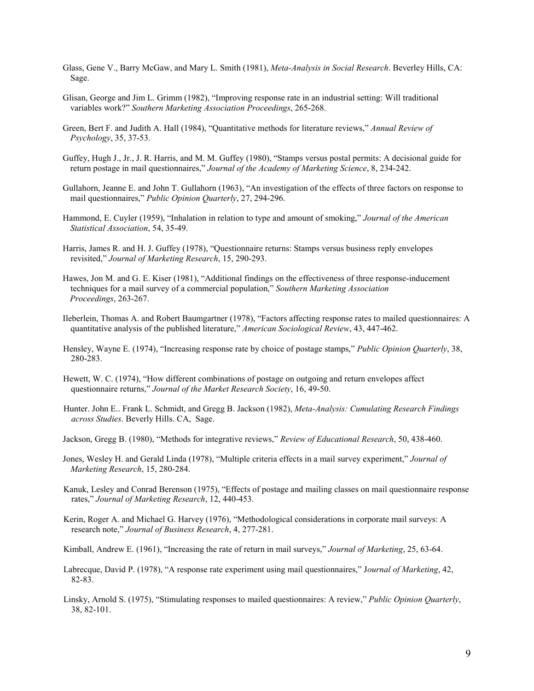- Glass, Gene V., Barry McGaw, and Mary L. Smith (1981), *Meta-Analysis in Social Research*. Beverley Hills, CA: Sage.
- Glisan, George and Jim L. Grimm (1982), "Improving response rate in an industrial setting: Will traditional variables work?" *Southern Marketing Association Proceedings*, 265-268.
- Green, Bert F. and Judith A. Hall (1984), "Quantitative methods for literature reviews," *Annual Review of Psychology*, 35, 37-53.
- Guffey, Hugh J., Jr., J. R. Harris, and M. M. Guffey (1980), "Stamps versus postal permits: A decisional guide for return postage in mail questionnaires," *Journal of the Academy of Marketing Science*, 8, 234-242.
- Gullahorn, Jeanne E. and John T. Gullahorn (1963), "An investigation of the effects of three factors on response to mail questionnaires," *Public Opinion Quarterly*, 27, 294-296.
- Hammond, E. Cuyler (1959), "Inhalation in relation to type and amount of smoking," *Journal of the American Statistical Association*, 54, 35-49.
- Harris, James R. and H. J. Guffey (1978), "Questionnaire returns: Stamps versus business reply envelopes revisited," *Journal of Marketing Research*, 15, 290-293.
- Hawes, Jon M. and G. E. Kiser (1981), "Additional findings on the effectiveness of three response-inducement techniques for a mail survey of a commercial population," *Southern Marketing Association Proceedings*, 263-267.
- Ileberlein, Thomas A. and Robert Baumgartner (1978), "Factors affecting response rates to mailed questionnaires: A quantitative analysis of the published literature," *American Sociological Review*, 43, 447-462.
- Hensley, Wayne E. (1974), "Increasing response rate by choice of postage stamps," *Public Opinion Quarterly*, 38, 280-283.
- Hewett, W. C. (1974), "How different combinations of postage on outgoing and return envelopes affect questionnaire returns," *Journal of the Market Research Society*, 16, 49-50.
- Hunter. John E.. Frank L. Schmidt, and Gregg B. Jackson (1982), *Meta-Analysis: Cumulating Research Findings across Studies*. Beverly Hills. CA, Sage.
- Jackson, Gregg B. (1980), "Methods for integrative reviews," *Review of Educational Research*, 50, 438-460.
- Jones, Wesley H. and Gerald Linda (1978), "Multiple criteria effects in a mail survey experiment," *Journal of Marketing Research*, 15, 280-284.
- Kanuk, Lesley and Conrad Berenson (1975), "Effects of postage and mailing classes on mail questionnaire response rates," *Journal of Marketing Research*, 12, 440-453.
- Kerin, Roger A. and Michael G. Harvey (1976), "Methodological considerations in corporate mail surveys: A research note," *Journal of Business Research*, 4, 277-281.
- Kimball, Andrew E. (1961), "Increasing the rate of return in mail surveys," *Journal of Marketing*, 25, 63-64.
- Labrecque, David P. (1978), "A response rate experiment using mail questionnaires," J*ournal of Marketing*, 42, 82-83.
- Linsky, Arnold S. (1975), "Stimulating responses to mailed questionnaires: A review," *Public Opinion Quarterly*, 38, 82-101.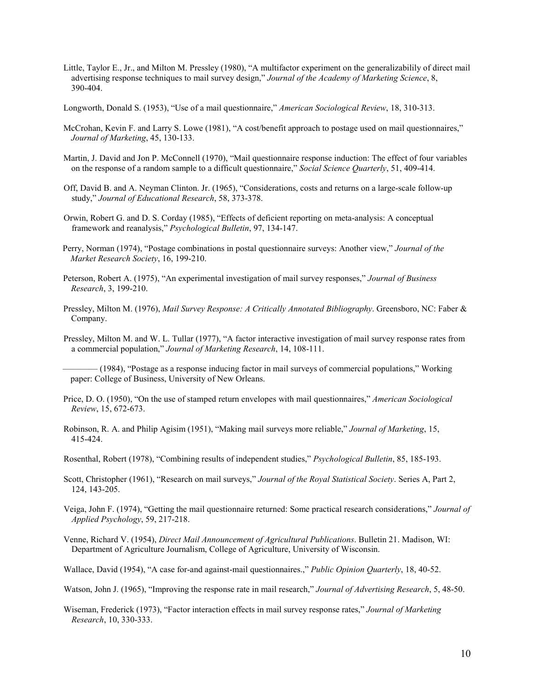- Little, Taylor E., Jr., and Milton M. Pressley (1980), "A multifactor experiment on the generalizabilily of direct mail advertising response techniques to mail survey design," *Journal of the Academy of Marketing Science*, 8, 390-404.
- Longworth, Donald S. (1953), "Use of a mail questionnaire," *American Sociological Review*, 18, 310-313.
- McCrohan, Kevin F. and Larry S. Lowe (1981), "A cost/benefit approach to postage used on mail questionnaires," *Journal of Marketing*, 45, 130-133.
- Martin, J. David and Jon P. McConnell (1970), "Mail questionnaire response induction: The effect of four variables on the response of a random sample to a difficult questionnaire," *Social Science Quarterly*, 51, 409-414.
- Off, David B. and A. Neyman Clinton. Jr. (1965), "Considerations, costs and returns on a large-scale follow-up study," *Journal of Educational Research*, 58, 373-378.
- Orwin, Robert G. and D. S. Corday (1985), "Effects of deficient reporting on meta-analysis: A conceptual framework and reanalysis," *Psychological Bulletin*, 97, 134-147.
- Perry, Norman (1974), "Postage combinations in postal questionnaire surveys: Another view," *Journal of the Market Research Society*, 16, 199-210.
- Peterson, Robert A. (1975), "An experimental investigation of mail survey responses," *Journal of Business Research*, 3, 199-210.
- Pressley, Milton M. (1976), *Mail Survey Response: A Critically Annotated Bibliography*. Greensboro, NC: Faber & Company.
- Pressley, Milton M. and W. L. Tullar (1977), "A factor interactive investigation of mail survey response rates from a commercial population," *Journal of Marketing Research*, 14, 108-111.

– (1984), "Postage as a response inducing factor in mail surveys of commercial populations," Working paper: College of Business, University of New Orleans.

- Price, D. O. (1950), "On the use of stamped return envelopes with mail questionnaires," *American Sociological Review*, 15, 672-673.
- Robinson, R. A. and Philip Agisim (1951), "Making mail surveys more reliable," *Journal of Marketing*, 15, 415-424.
- Rosenthal, Robert (1978), "Combining results of independent studies," *Psychological Bulletin*, 85, 185-193.
- Scott, Christopher (1961), "Research on mail surveys," *Journal of the Royal Statistical Society*. Series A, Part 2, 124, 143-205.
- Veiga, John F. (1974), "Getting the mail questionnaire returned: Some practical research considerations," *Journal of Applied Psychology*, 59, 217-218.
- Venne, Richard V. (1954), *Direct Mail Announcement of Agricultural Publications*. Bulletin 21. Madison, WI: Department of Agriculture Journalism, College of Agriculture, University of Wisconsin.
- Wallace, David (1954), "A case for-and against-mail questionnaires.," *Public Opinion Quarterly*, 18, 40-52.
- Watson, John J. (1965), "Improving the response rate in mail research," *Journal of Advertising Research*, 5, 48-50.
- Wiseman, Frederick (1973), "Factor interaction effects in mail survey response rates," *Journal of Marketing Research*, 10, 330-333.